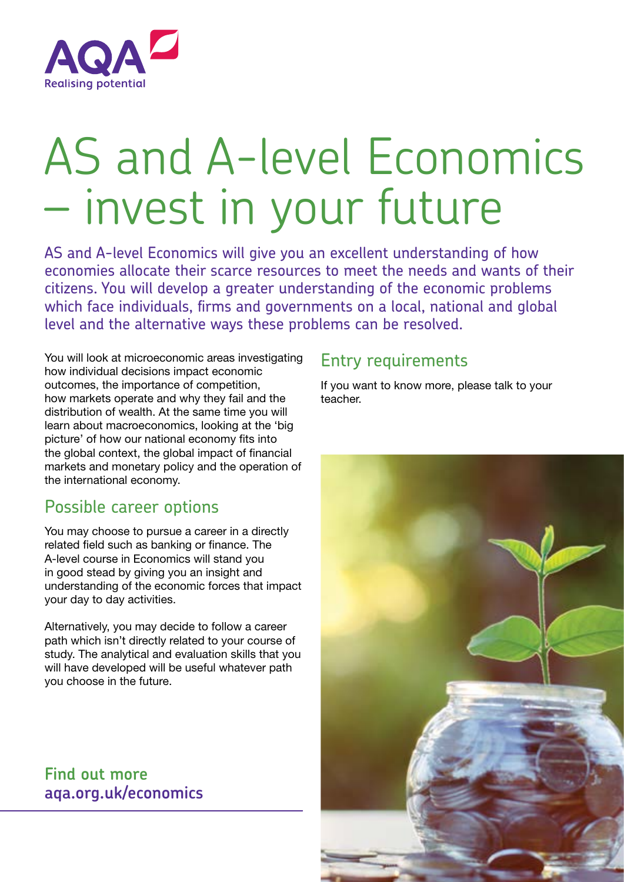

# AS and A-level Economics – invest in your future

AS and A-level Economics will give you an excellent understanding of how economies allocate their scarce resources to meet the needs and wants of their citizens. You will develop a greater understanding of the economic problems which face individuals, firms and governments on a local, national and global level and the alternative ways these problems can be resolved.

You will look at microeconomic areas investigating how individual decisions impact economic outcomes, the importance of competition, how markets operate and why they fail and the distribution of wealth. At the same time you will learn about macroeconomics, looking at the 'big picture' of how our national economy fits into the global context, the global impact of financial markets and monetary policy and the operation of the international economy.

## Possible career options

You may choose to pursue a career in a directly related field such as banking or finance. The A-level course in Economics will stand you in good stead by giving you an insight and understanding of the economic forces that impact your day to day activities.

Alternatively, you may decide to follow a career path which isn't directly related to your course of study. The analytical and evaluation skills that you will have developed will be useful whatever path you choose in the future.

## **Find out more aqa.org.uk/economics**

## Entry requirements

If you want to know more, please talk to your teacher.